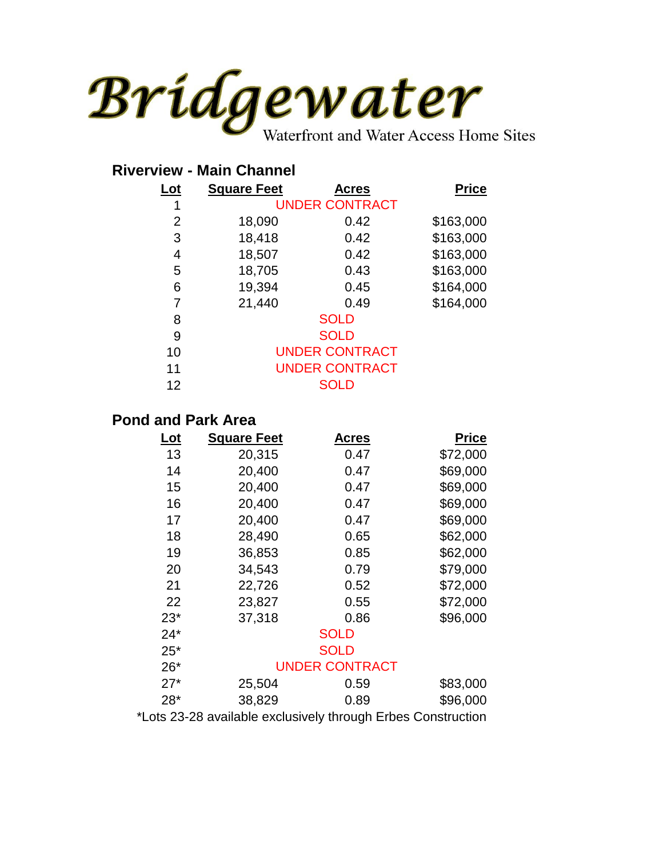

## **Riverview - Main Channel**

| Lot | <b>Square Feet</b>    | Acres                 | <b>Price</b> |
|-----|-----------------------|-----------------------|--------------|
| 1   |                       | <b>UNDER CONTRACT</b> |              |
| 2   | 18,090                | 0.42                  | \$163,000    |
| 3   | 18,418                | 0.42                  | \$163,000    |
| 4   | 18,507                | 0.42                  | \$163,000    |
| 5   | 18,705                | 0.43                  | \$163,000    |
| 6   | 19,394                | 0.45                  | \$164,000    |
| 7   | 21,440                | 0.49                  | \$164,000    |
| 8   |                       | <b>SOLD</b>           |              |
| 9   |                       | <b>SOLD</b>           |              |
| 10  | <b>UNDER CONTRACT</b> |                       |              |
| 11  | <b>UNDER CONTRACT</b> |                       |              |
| 12  |                       | <b>SOLD</b>           |              |
|     |                       |                       |              |

## **Pond and Park Area**

| $Let$ | <b>Square Feet</b> | <b>Acres</b>          |  | <b>Price</b> |
|-------|--------------------|-----------------------|--|--------------|
| 13    | 20,315             | 0.47                  |  | \$72,000     |
| 14    | 20,400             | 0.47                  |  | \$69,000     |
| 15    | 20,400             | 0.47                  |  | \$69,000     |
| 16    | 20,400             | 0.47                  |  | \$69,000     |
| 17    | 20,400             | 0.47                  |  | \$69,000     |
| 18    | 28,490             | 0.65                  |  | \$62,000     |
| 19    | 36,853             | 0.85                  |  | \$62,000     |
| 20    | 34,543             | 0.79                  |  | \$79,000     |
| 21    | 22,726             | 0.52                  |  | \$72,000     |
| 22    | 23,827             | 0.55                  |  | \$72,000     |
| $23*$ | 37,318             | 0.86                  |  | \$96,000     |
| $24*$ |                    | <b>SOLD</b>           |  |              |
| $25*$ |                    | <b>SOLD</b>           |  |              |
| $26*$ |                    | <b>UNDER CONTRACT</b> |  |              |
| $27*$ | 25,504             | 0.59                  |  | \$83,000     |
| $28*$ | 38,829             | 0.89                  |  | \$96,000     |
|       |                    |                       |  |              |

\*Lots 23-28 available exclusively through Erbes Construction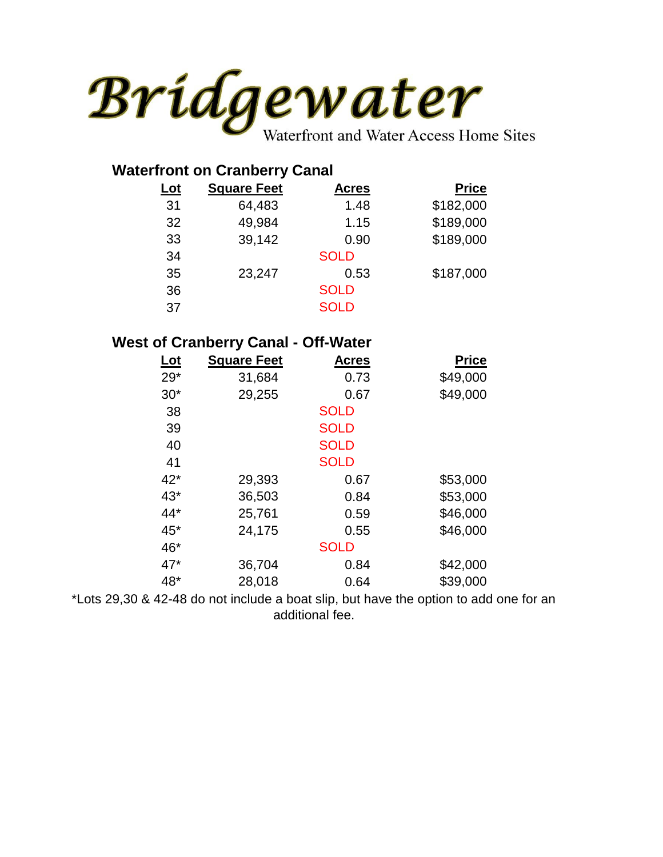

| <b>Waterfront on Cranberry Canal</b> |                    |              |              |  |
|--------------------------------------|--------------------|--------------|--------------|--|
| <u>Lot</u>                           | <b>Square Feet</b> | <b>Acres</b> | <b>Price</b> |  |
| 31                                   | 64,483             | 1.48         | \$182,000    |  |
| 32                                   | 49,984             | 1.15         | \$189,000    |  |
| 33                                   | 39,142             | 0.90         | \$189,000    |  |
| 34                                   |                    | <b>SOLD</b>  |              |  |
| 35                                   | 23,247             | 0.53         | \$187,000    |  |
| 36                                   |                    | <b>SOLD</b>  |              |  |
| 37                                   |                    | <b>SOLD</b>  |              |  |

## **West of Cranberry Canal - Off-Water**

| <u>Lot</u> | <b>Square Feet</b> | <b>Acres</b> | <b>Price</b> |
|------------|--------------------|--------------|--------------|
| $29*$      | 31,684             | 0.73         | \$49,000     |
| $30*$      | 29,255             | 0.67         | \$49,000     |
| 38         |                    | <b>SOLD</b>  |              |
| 39         |                    | <b>SOLD</b>  |              |
| 40         |                    | <b>SOLD</b>  |              |
| 41         |                    | <b>SOLD</b>  |              |
| $42*$      | 29,393             | 0.67         | \$53,000     |
| $43*$      | 36,503             | 0.84         | \$53,000     |
| $44*$      | 25,761             | 0.59         | \$46,000     |
| 45*        | 24,175             | 0.55         | \$46,000     |
| 46*        |                    | <b>SOLD</b>  |              |
| $47*$      | 36,704             | 0.84         | \$42,000     |
| 48*        | 28,018             | 0.64         | \$39,000     |

\*Lots 29,30 & 42-48 do not include a boat slip, but have the option to add one for an additional fee.